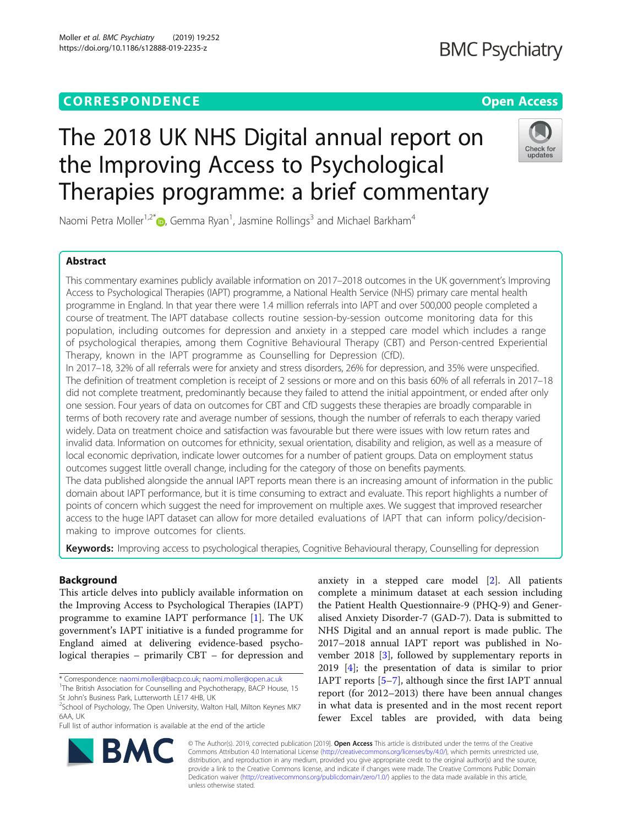### **CORRESPONDENCE CORRESPONDENCE** *CORRESPONDENCE*

## **BMC Psychiatry**

# The 2018 UK NHS Digital annual report on the Improving Access to Psychological Therapies programme: a brief commentary



Naomi Petra Moller<sup>1,2[\\*](http://orcid.org/0000-0002-9756-0367)</sup> $\bm{\odot}$ , Gemma Ryan<sup>1</sup>, Jasmine Rollings<sup>3</sup> and Michael Barkham<sup>4</sup>

### Abstract

This commentary examines publicly available information on 2017–2018 outcomes in the UK government's Improving Access to Psychological Therapies (IAPT) programme, a National Health Service (NHS) primary care mental health programme in England. In that year there were 1.4 million referrals into IAPT and over 500,000 people completed a course of treatment. The IAPT database collects routine session-by-session outcome monitoring data for this population, including outcomes for depression and anxiety in a stepped care model which includes a range of psychological therapies, among them Cognitive Behavioural Therapy (CBT) and Person-centred Experiential Therapy, known in the IAPT programme as Counselling for Depression (CfD).

In 2017–18, 32% of all referrals were for anxiety and stress disorders, 26% for depression, and 35% were unspecified. The definition of treatment completion is receipt of 2 sessions or more and on this basis 60% of all referrals in 2017–18 did not complete treatment, predominantly because they failed to attend the initial appointment, or ended after only one session. Four years of data on outcomes for CBT and CfD suggests these therapies are broadly comparable in terms of both recovery rate and average number of sessions, though the number of referrals to each therapy varied widely. Data on treatment choice and satisfaction was favourable but there were issues with low return rates and invalid data. Information on outcomes for ethnicity, sexual orientation, disability and religion, as well as a measure of local economic deprivation, indicate lower outcomes for a number of patient groups. Data on employment status outcomes suggest little overall change, including for the category of those on benefits payments. The data published alongside the annual IAPT reports mean there is an increasing amount of information in the public

domain about IAPT performance, but it is time consuming to extract and evaluate. This report highlights a number of points of concern which suggest the need for improvement on multiple axes. We suggest that improved researcher access to the huge IAPT dataset can allow for more detailed evaluations of IAPT that can inform policy/decisionmaking to improve outcomes for clients.

Keywords: Improving access to psychological therapies, Cognitive Behavioural therapy, Counselling for depression

### Background

This article delves into publicly available information on the Improving Access to Psychological Therapies (IAPT) programme to examine IAPT performance [[1\]](#page-3-0). The UK government's IAPT initiative is a funded programme for England aimed at delivering evidence-based psychological therapies – primarily CBT – for depression and

\* Correspondence: [naomi.moller@bacp.co.uk;](mailto:naomi.moller@bacp.co.uk) [naomi.moller@open.ac.uk](mailto:naomi.moller@open.ac.uk) <sup>1</sup>

Full list of author information is available at the end of the article

anxiety in a stepped care model [[2\]](#page-3-0). All patients complete a minimum dataset at each session including the Patient Health Questionnaire-9 (PHQ-9) and Generalised Anxiety Disorder-7 (GAD-7). Data is submitted to NHS Digital and an annual report is made public. The 2017–2018 annual IAPT report was published in November 2018 [\[3](#page-3-0)], followed by supplementary reports in 2019 [[4\]](#page-3-0); the presentation of data is similar to prior IAPT reports [[5](#page-3-0)–[7\]](#page-3-0), although since the first IAPT annual report (for 2012–2013) there have been annual changes in what data is presented and in the most recent report fewer Excel tables are provided, with data being



© The Author(s). 2019, corrected publication [2019]. Open Access This article is distributed under the terms of the Creative Commons Attribution 4.0 International License ([http://creativecommons.org/licenses/by/4.0/\)](http://creativecommons.org/licenses/by/4.0/), which permits unrestricted use, distribution, and reproduction in any medium, provided you give appropriate credit to the original author(s) and the source, provide a link to the Creative Commons license, and indicate if changes were made. The Creative Commons Public Domain Dedication waiver [\(http://creativecommons.org/publicdomain/zero/1.0/](http://creativecommons.org/publicdomain/zero/1.0/)) applies to the data made available in this article, unless otherwise stated.

<sup>&</sup>lt;sup>1</sup>The British Association for Counselling and Psychotherapy, BACP House, 15 St John's Business Park, Lutterworth LE17 4HB, UK

 $2$ School of Psychology, The Open University, Walton Hall, Milton Keynes MK7 6AA, UK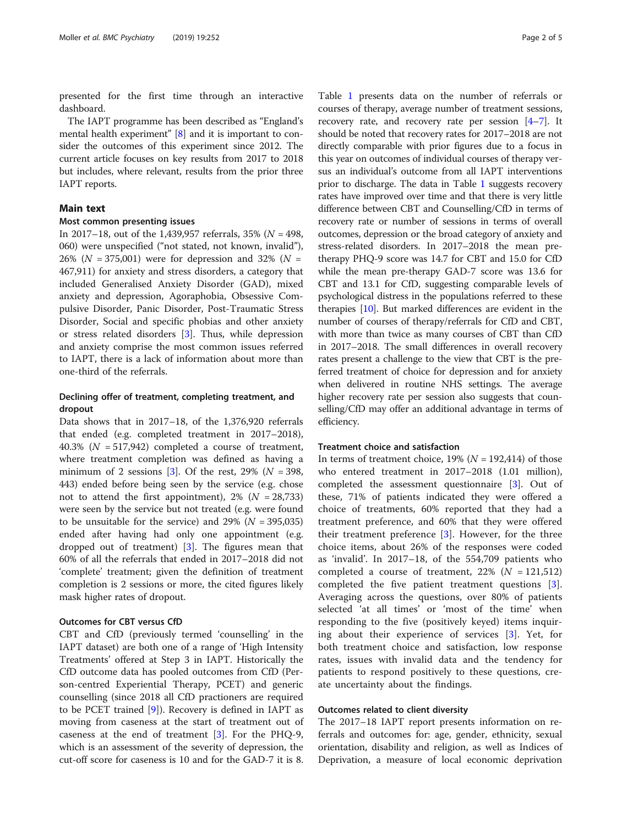presented for the first time through an interactive dashboard.

The IAPT programme has been described as "England's mental health experiment" [\[8](#page-3-0)] and it is important to consider the outcomes of this experiment since 2012. The current article focuses on key results from 2017 to 2018 but includes, where relevant, results from the prior three IAPT reports.

#### Main text

#### Most common presenting issues

In 2017–18, out of the 1,439,957 referrals, 35% ( $N = 498$ , 060) were unspecified ("not stated, not known, invalid"), 26% ( $N = 375,001$ ) were for depression and 32% ( $N =$ 467,911) for anxiety and stress disorders, a category that included Generalised Anxiety Disorder (GAD), mixed anxiety and depression, Agoraphobia, Obsessive Compulsive Disorder, Panic Disorder, Post-Traumatic Stress Disorder, Social and specific phobias and other anxiety or stress related disorders [[3\]](#page-3-0). Thus, while depression and anxiety comprise the most common issues referred to IAPT, there is a lack of information about more than one-third of the referrals.

#### Declining offer of treatment, completing treatment, and dropout

Data shows that in 2017–18, of the 1,376,920 referrals that ended (e.g. completed treatment in 2017–2018), 40.3% ( $N = 517,942$ ) completed a course of treatment, where treatment completion was defined as having a minimum of 2 sessions [[3\]](#page-3-0). Of the rest, 29% ( $N = 398$ , 443) ended before being seen by the service (e.g. chose not to attend the first appointment),  $2\%$  ( $N = 28,733$ ) were seen by the service but not treated (e.g. were found to be unsuitable for the service) and 29% ( $N = 395,035$ ) ended after having had only one appointment (e.g. dropped out of treatment) [\[3](#page-3-0)]. The figures mean that 60% of all the referrals that ended in 2017–2018 did not 'complete' treatment; given the definition of treatment completion is 2 sessions or more, the cited figures likely mask higher rates of dropout.

#### Outcomes for CBT versus CfD

CBT and CfD (previously termed 'counselling' in the IAPT dataset) are both one of a range of 'High Intensity Treatments' offered at Step 3 in IAPT. Historically the CfD outcome data has pooled outcomes from CfD (Person-centred Experiential Therapy, PCET) and generic counselling (since 2018 all CfD practioners are required to be PCET trained [[9](#page-3-0)]). Recovery is defined in IAPT as moving from caseness at the start of treatment out of caseness at the end of treatment [\[3](#page-3-0)]. For the PHQ-9, which is an assessment of the severity of depression, the cut-off score for caseness is 10 and for the GAD-7 it is 8.

Table [1](#page-2-0) presents data on the number of referrals or courses of therapy, average number of treatment sessions, recovery rate, and recovery rate per session  $[4-7]$  $[4-7]$  $[4-7]$  $[4-7]$  $[4-7]$ . It should be noted that recovery rates for 2017–2018 are not directly comparable with prior figures due to a focus in this year on outcomes of individual courses of therapy versus an individual's outcome from all IAPT interventions prior to discharge. The data in Table [1](#page-2-0) suggests recovery rates have improved over time and that there is very little difference between CBT and Counselling/CfD in terms of recovery rate or number of sessions in terms of overall outcomes, depression or the broad category of anxiety and stress-related disorders. In 2017–2018 the mean pretherapy PHQ-9 score was 14.7 for CBT and 15.0 for CfD while the mean pre-therapy GAD-7 score was 13.6 for CBT and 13.1 for CfD, suggesting comparable levels of psychological distress in the populations referred to these therapies [[10](#page-4-0)]. But marked differences are evident in the number of courses of therapy/referrals for CfD and CBT, with more than twice as many courses of CBT than CfD in 2017–2018. The small differences in overall recovery rates present a challenge to the view that CBT is the preferred treatment of choice for depression and for anxiety when delivered in routine NHS settings. The average higher recovery rate per session also suggests that counselling/CfD may offer an additional advantage in terms of efficiency.

#### Treatment choice and satisfaction

In terms of treatment choice,  $19\%$  ( $N = 192,414$ ) of those who entered treatment in 2017–2018 (1.01 million), completed the assessment questionnaire [[3\]](#page-3-0). Out of these, 71% of patients indicated they were offered a choice of treatments, 60% reported that they had a treatment preference, and 60% that they were offered their treatment preference [[3](#page-3-0)]. However, for the three choice items, about 26% of the responses were coded as 'invalid'. In 2017–18, of the 554,709 patients who completed a course of treatment,  $22\%$  ( $N = 121,512$ ) completed the five patient treatment questions [\[3](#page-3-0)]. Averaging across the questions, over 80% of patients selected 'at all times' or 'most of the time' when responding to the five (positively keyed) items inquiring about their experience of services [\[3](#page-3-0)]. Yet, for both treatment choice and satisfaction, low response rates, issues with invalid data and the tendency for patients to respond positively to these questions, create uncertainty about the findings.

#### Outcomes related to client diversity

The 2017–18 IAPT report presents information on referrals and outcomes for: age, gender, ethnicity, sexual orientation, disability and religion, as well as Indices of Deprivation, a measure of local economic deprivation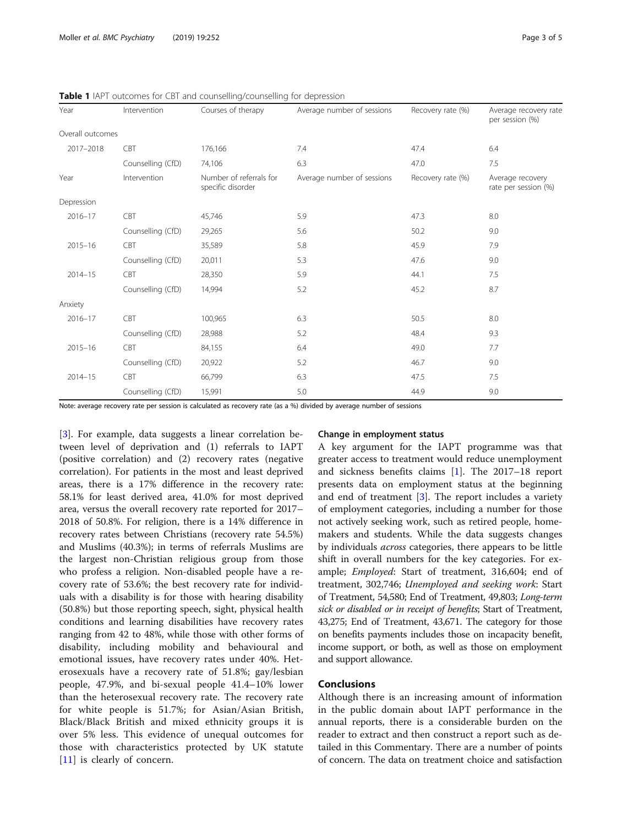| Year             | Intervention      | Courses of therapy                           | Average number of sessions | Recovery rate (%) | Average recovery rate<br>per session (%) |
|------------------|-------------------|----------------------------------------------|----------------------------|-------------------|------------------------------------------|
| Overall outcomes |                   |                                              |                            |                   |                                          |
| 2017-2018        | <b>CBT</b>        | 176,166                                      | 7.4                        | 47.4              | 6.4                                      |
|                  | Counselling (CfD) | 74,106                                       | 6.3                        | 47.0              | 7.5                                      |
| Year             | Intervention      | Number of referrals for<br>specific disorder | Average number of sessions | Recovery rate (%) | Average recovery<br>rate per session (%) |
| Depression       |                   |                                              |                            |                   |                                          |
| $2016 - 17$      | CBT               | 45,746                                       | 5.9                        | 47.3              | 8.0                                      |
|                  | Counselling (CfD) | 29,265                                       | 5.6                        | 50.2              | 9.0                                      |
| $2015 - 16$      | <b>CBT</b>        | 35,589                                       | 5.8                        | 45.9              | 7.9                                      |
|                  | Counselling (CfD) | 20,011                                       | 5.3                        | 47.6              | 9.0                                      |
| $2014 - 15$      | CBT               | 28,350                                       | 5.9                        | 44.1              | 7.5                                      |
|                  | Counselling (CfD) | 14,994                                       | 5.2                        | 45.2              | 8.7                                      |
| Anxiety          |                   |                                              |                            |                   |                                          |
| $2016 - 17$      | CBT               | 100,965                                      | 6.3                        | 50.5              | 8.0                                      |
|                  | Counselling (CfD) | 28,988                                       | 5.2                        | 48.4              | 9.3                                      |
| $2015 - 16$      | CBT               | 84,155                                       | 6.4                        | 49.0              | 7.7                                      |
|                  | Counselling (CfD) | 20,922                                       | 5.2                        | 46.7              | 9.0                                      |
| $2014 - 15$      | CBT               | 66,799                                       | 6.3                        | 47.5              | 7.5                                      |
|                  | Counselling (CfD) | 15,991                                       | 5.0                        | 44.9              | 9.0                                      |

<span id="page-2-0"></span>Table 1 IAPT outcomes for CBT and counselling/counselling for depression

Note: average recovery rate per session is calculated as recovery rate (as a %) divided by average number of sessions

[[3\]](#page-3-0). For example, data suggests a linear correlation between level of deprivation and (1) referrals to IAPT (positive correlation) and (2) recovery rates (negative correlation). For patients in the most and least deprived areas, there is a 17% difference in the recovery rate: 58.1% for least derived area, 41.0% for most deprived area, versus the overall recovery rate reported for 2017– 2018 of 50.8%. For religion, there is a 14% difference in recovery rates between Christians (recovery rate 54.5%) and Muslims (40.3%); in terms of referrals Muslims are the largest non-Christian religious group from those who profess a religion. Non-disabled people have a recovery rate of 53.6%; the best recovery rate for individuals with a disability is for those with hearing disability (50.8%) but those reporting speech, sight, physical health conditions and learning disabilities have recovery rates ranging from 42 to 48%, while those with other forms of disability, including mobility and behavioural and emotional issues, have recovery rates under 40%. Heterosexuals have a recovery rate of 51.8%; gay/lesbian people, 47.9%, and bi-sexual people 41.4–10% lower than the heterosexual recovery rate. The recovery rate for white people is 51.7%; for Asian/Asian British, Black/Black British and mixed ethnicity groups it is over 5% less. This evidence of unequal outcomes for those with characteristics protected by UK statute [[11\]](#page-4-0) is clearly of concern.

#### Change in employment status

A key argument for the IAPT programme was that greater access to treatment would reduce unemployment and sickness benefits claims [\[1](#page-3-0)]. The 2017–18 report presents data on employment status at the beginning and end of treatment [[3\]](#page-3-0). The report includes a variety of employment categories, including a number for those not actively seeking work, such as retired people, homemakers and students. While the data suggests changes by individuals across categories, there appears to be little shift in overall numbers for the key categories. For example; Employed: Start of treatment, 316,604; end of treatment, 302,746; Unemployed and seeking work: Start of Treatment, 54,580; End of Treatment, 49,803; Long-term sick or disabled or in receipt of benefits; Start of Treatment, 43,275; End of Treatment, 43,671. The category for those on benefits payments includes those on incapacity benefit, income support, or both, as well as those on employment and support allowance.

#### Conclusions

Although there is an increasing amount of information in the public domain about IAPT performance in the annual reports, there is a considerable burden on the reader to extract and then construct a report such as detailed in this Commentary. There are a number of points of concern. The data on treatment choice and satisfaction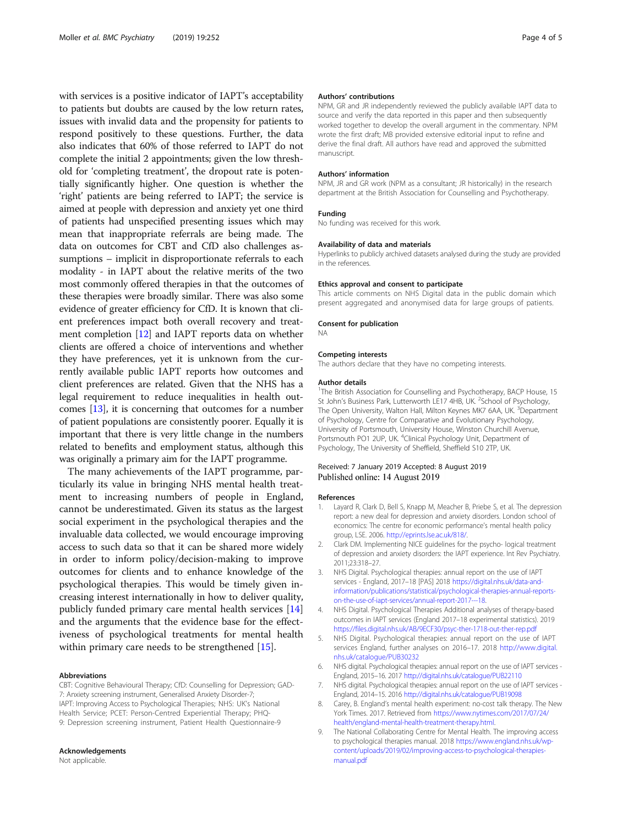<span id="page-3-0"></span>with services is a positive indicator of IAPT's acceptability to patients but doubts are caused by the low return rates, issues with invalid data and the propensity for patients to respond positively to these questions. Further, the data also indicates that 60% of those referred to IAPT do not complete the initial 2 appointments; given the low threshold for 'completing treatment', the dropout rate is potentially significantly higher. One question is whether the 'right' patients are being referred to IAPT; the service is aimed at people with depression and anxiety yet one third of patients had unspecified presenting issues which may mean that inappropriate referrals are being made. The data on outcomes for CBT and CfD also challenges assumptions – implicit in disproportionate referrals to each modality - in IAPT about the relative merits of the two most commonly offered therapies in that the outcomes of these therapies were broadly similar. There was also some evidence of greater efficiency for CfD. It is known that client preferences impact both overall recovery and treatment completion [[12](#page-4-0)] and IAPT reports data on whether clients are offered a choice of interventions and whether they have preferences, yet it is unknown from the currently available public IAPT reports how outcomes and client preferences are related. Given that the NHS has a legal requirement to reduce inequalities in health outcomes [[13](#page-4-0)], it is concerning that outcomes for a number of patient populations are consistently poorer. Equally it is important that there is very little change in the numbers related to benefits and employment status, although this was originally a primary aim for the IAPT programme.

The many achievements of the IAPT programme, particularly its value in bringing NHS mental health treatment to increasing numbers of people in England, cannot be underestimated. Given its status as the largest social experiment in the psychological therapies and the invaluable data collected, we would encourage improving access to such data so that it can be shared more widely in order to inform policy/decision-making to improve outcomes for clients and to enhance knowledge of the psychological therapies. This would be timely given increasing interest internationally in how to deliver quality, publicly funded primary care mental health services [[14](#page-4-0)] and the arguments that the evidence base for the effectiveness of psychological treatments for mental health within primary care needs to be strengthened [\[15](#page-4-0)].

#### Abbreviations

CBT: Cognitive Behavioural Therapy; CfD: Counselling for Depression; GAD-7: Anxiety screening instrument, Generalised Anxiety Disorder-7; IAPT: Improving Access to Psychological Therapies; NHS: UK's National Health Service; PCET: Person-Centred Experiential Therapy; PHQ-9: Depression screening instrument, Patient Health Questionnaire-9

#### Acknowledgements

Not applicable.

#### Authors' contributions

NPM, GR and JR independently reviewed the publicly available IAPT data to source and verify the data reported in this paper and then subsequently worked together to develop the overall argument in the commentary. NPM wrote the first draft; MB provided extensive editorial input to refine and derive the final draft. All authors have read and approved the submitted manuscript.

#### Authors' information

NPM, JR and GR work (NPM as a consultant; JR historically) in the research department at the British Association for Counselling and Psychotherapy.

#### Funding

No funding was received for this work.

#### Availability of data and materials

Hyperlinks to publicly archived datasets analysed during the study are provided in the references.

#### Ethics approval and consent to participate

This article comments on NHS Digital data in the public domain which present aggregated and anonymised data for large groups of patients.

#### Consent for publication

NA

#### Competing interests

The authors declare that they have no competing interests.

#### Author details

<sup>1</sup>The British Association for Counselling and Psychotherapy, BACP House, 15 St John's Business Park, Lutterworth LE17 4HB, UK. <sup>2</sup>School of Psychology The Open University, Walton Hall, Milton Keynes MK7 6AA, UK. <sup>3</sup>Department of Psychology, Centre for Comparative and Evolutionary Psychology, University of Portsmouth, University House, Winston Churchill Avenue, Portsmouth PO1 2UP, UK. <sup>4</sup>Clinical Psychology Unit, Department of Psychology, The University of Sheffield, Sheffield S10 2TP, UK.

#### Received: 7 January 2019 Accepted: 8 August 2019 Published online: 14 August 2019

#### References

- 1. Layard R, Clark D, Bell S, Knapp M, Meacher B, Priebe S, et al. The depression report: a new deal for depression and anxiety disorders. London school of economics: The centre for economic performance's mental health policy group, LSE. 2006. [http://eprints.lse.ac.uk/818/.](http://eprints.lse.ac.uk/818/)
- 2. Clark DM. Implementing NICE guidelines for the psycho- logical treatment of depression and anxiety disorders: the IAPT experience. Int Rev Psychiatry. 2011;23:318–27.
- 3. NHS Digital. Psychological therapies: annual report on the use of IAPT services - England, 2017–18 [PAS] 2018 [https://digital.nhs.uk/data-and](https://digital.nhs.uk/data-and-information/publications/statistical/psychological-therapies-annual-reports-on-the-use-of-iapt-services/annual-report-2017---18)[information/publications/statistical/psychological-therapies-annual-reports](https://digital.nhs.uk/data-and-information/publications/statistical/psychological-therapies-annual-reports-on-the-use-of-iapt-services/annual-report-2017---18)[on-the-use-of-iapt-services/annual-report-2017---18.](https://digital.nhs.uk/data-and-information/publications/statistical/psychological-therapies-annual-reports-on-the-use-of-iapt-services/annual-report-2017---18)
- 4. NHS Digital. Psychological Therapies Additional analyses of therapy-based outcomes in IAPT services (England 2017–18 experimental statistics). 2019 <https://files.digital.nhs.uk/AB/9ECF30/psyc-ther-1718-out-ther-rep.pdf>
- 5. NHS Digital. Psychological therapies: annual report on the use of IAPT services England, further analyses on 2016–17. 2018 [http://www.digital.](http://www.digital.nhs.uk/catalogue/PUB30232) [nhs.uk/catalogue/PUB30232](http://www.digital.nhs.uk/catalogue/PUB30232)
- 6. NHS digital. Psychological therapies: annual report on the use of IAPT services England, 2015–16. 2017 <http://digital.nhs.uk/catalogue/PUB22110>
- 7. NHS digital. Psychological therapies: annual report on the use of IAPT services England, 2014–15. 2016 <http://digital.nhs.uk/catalogue/PUB19098>
- 8. Carey, B. England's mental health experiment: no-cost talk therapy. The New York Times. 2017. Retrieved from [https://www.nytimes.com/2017/07/24/](https://www.nytimes.com/2017/07/24/health/england-mental-health-treatment-therapy.html) [health/england-mental-health-treatment-therapy.html](https://www.nytimes.com/2017/07/24/health/england-mental-health-treatment-therapy.html).
- 9. The National Collaborating Centre for Mental Health. The improving access to psychological therapies manual. 2018 [https://www.england.nhs.uk/wp](https://www.england.nhs.uk/wp-content/uploads/2019/02/improving-access-to-psychological-therapies-manual.pdf)[content/uploads/2019/02/improving-access-to-psychological-therapies](https://www.england.nhs.uk/wp-content/uploads/2019/02/improving-access-to-psychological-therapies-manual.pdf)[manual.pdf](https://www.england.nhs.uk/wp-content/uploads/2019/02/improving-access-to-psychological-therapies-manual.pdf)